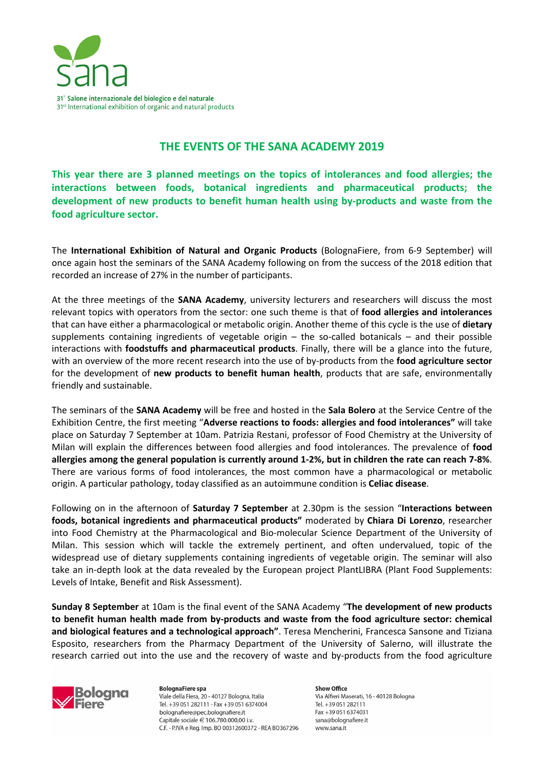

## **THE EVENTS OF THE SANA ACADEMY 2019**

**This year there are 3 planned meetings on the topics of intolerances and food allergies; the interactions between foods, botanical ingredients and pharmaceutical products; the development of new products to benefit human health using by-products and waste from the food agriculture sector.** 

The **International Exhibition of Natural and Organic Products** (BolognaFiere, from 6-9 September) will once again host the seminars of the SANA Academy following on from the success of the 2018 edition that recorded an increase of 27% in the number of participants.

At the three meetings of the **SANA Academy**, university lecturers and researchers will discuss the most relevant topics with operators from the sector: one such theme is that of **food allergies and intolerances**  that can have either a pharmacological or metabolic origin. Another theme of this cycle is the use of **dietary**  supplements containing ingredients of vegetable origin  $-$  the so-called botanicals  $-$  and their possible interactions with **foodstuffs and pharmaceutical products**. Finally, there will be a glance into the future, with an overview of the more recent research into the use of by-products from the **food agriculture sector** for the development of **new products to benefit human health**, products that are safe, environmentally friendly and sustainable.

The seminars of the **SANA Academy** will be free and hosted in the **Sala Bolero** at the Service Centre of the Exhibition Centre, the first meeting "**Adverse reactions to foods: allergies and food intolerances"** will take place on Saturday 7 September at 10am. Patrizia Restani, professor of Food Chemistry at the University of Milan will explain the differences between food allergies and food intolerances. The prevalence of **food allergies among the general population is currently around 1-2%, but in children the rate can reach 7-8%**. There are various forms of food intolerances, the most common have a pharmacological or metabolic origin. A particular pathology, today classified as an autoimmune condition is **Celiac disease**.

Following on in the afternoon of **Saturday 7 September** at 2.30pm is the session "**Interactions between foods, botanical ingredients and pharmaceutical products"** moderated by **Chiara Di Lorenzo**, researcher into Food Chemistry at the Pharmacological and Bio-molecular Science Department of the University of Milan. This session which will tackle the extremely pertinent, and often undervalued, topic of the widespread use of dietary supplements containing ingredients of vegetable origin. The seminar will also take an in-depth look at the data revealed by the European project PlantLIBRA (Plant Food Supplements: Levels of Intake, Benefit and Risk Assessment).

**Sunday 8 September** at 10am is the final event of the SANA Academy "**The development of new products to benefit human health made from by-products and waste from the food agriculture sector: chemical and biological features and a technological approach"**. Teresa Mencherini, Francesca Sansone and Tiziana Esposito, researchers from the Pharmacy Department of the University of Salerno, will illustrate the research carried out into the use and the recovery of waste and by-products from the food agriculture



**BolognaFiere spa** Viale della Fiera, 20 - 40127 Bologna, Italia Tel. +39 051 282111 - Fax +39 051 6374004 bolognafiere@pec.bolognafiere.it Capitale sociale € 106.780.000.00 i.v. C.F. - P.IVA e Reg. Imp. BO 00312600372 - REA BO367296

Show Office Via Alfieri Maserati, 16 - 40128 Bologna Tel. +39 051 282111 Fax +39 051 6374031 sana@bolognafiere.it www.sana.it